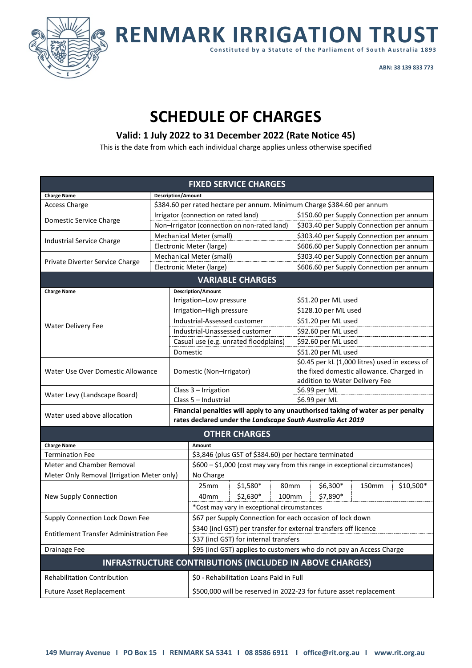

**RENMARK IRRIGATION TRUST**

**Constituted by a Statute of the Parliament of South Australia 1893**

**ABN: 38 139 833 773**

# **SCHEDULE OF CHARGES**

# **Valid: 1 July 2022 to 31 December 2022 (Rate Notice 45)**

This is the date from which each individual charge applies unless otherwise specified

| <b>FIXED SERVICE CHARGES</b>                                    |                                                                         |                                                                  |                                                                                                                                                  |                                                |  |  |  |  |
|-----------------------------------------------------------------|-------------------------------------------------------------------------|------------------------------------------------------------------|--------------------------------------------------------------------------------------------------------------------------------------------------|------------------------------------------------|--|--|--|--|
| <b>Charge Name</b>                                              |                                                                         | <b>Description/Amount</b>                                        |                                                                                                                                                  |                                                |  |  |  |  |
| <b>Access Charge</b>                                            | \$384.60 per rated hectare per annum. Minimum Charge \$384.60 per annum |                                                                  |                                                                                                                                                  |                                                |  |  |  |  |
| Domestic Service Charge                                         |                                                                         |                                                                  | Irrigator (connection on rated land)                                                                                                             | \$150.60 per Supply Connection per annum       |  |  |  |  |
|                                                                 |                                                                         |                                                                  | Non-Irrigator (connection on non-rated land)                                                                                                     | \$303.40 per Supply Connection per annum       |  |  |  |  |
|                                                                 |                                                                         |                                                                  | Mechanical Meter (small)                                                                                                                         | \$303.40 per Supply Connection per annum       |  |  |  |  |
| Industrial Service Charge                                       |                                                                         |                                                                  | Electronic Meter (large)                                                                                                                         | \$606.60 per Supply Connection per annum       |  |  |  |  |
|                                                                 |                                                                         |                                                                  | Mechanical Meter (small)                                                                                                                         | \$303.40 per Supply Connection per annum       |  |  |  |  |
| Private Diverter Service Charge                                 |                                                                         |                                                                  | Electronic Meter (large)                                                                                                                         | \$606.60 per Supply Connection per annum       |  |  |  |  |
| <b>VARIABLE CHARGES</b>                                         |                                                                         |                                                                  |                                                                                                                                                  |                                                |  |  |  |  |
| <b>Charge Name</b>                                              |                                                                         |                                                                  | <b>Description/Amount</b>                                                                                                                        |                                                |  |  |  |  |
|                                                                 |                                                                         |                                                                  | Irrigation-Low pressure                                                                                                                          | \$51.20 per ML used                            |  |  |  |  |
|                                                                 |                                                                         |                                                                  | Irrigation-High pressure                                                                                                                         | \$128.10 per ML used                           |  |  |  |  |
| <b>Water Delivery Fee</b>                                       |                                                                         |                                                                  | Industrial-Assessed customer                                                                                                                     | \$51.20 per ML used                            |  |  |  |  |
|                                                                 |                                                                         |                                                                  | Industrial-Unassessed customer                                                                                                                   | \$92.60 per ML used                            |  |  |  |  |
|                                                                 |                                                                         |                                                                  | Casual use (e.g. unrated floodplains)                                                                                                            | \$92.60 per ML used                            |  |  |  |  |
|                                                                 |                                                                         | Domestic                                                         |                                                                                                                                                  | \$51.20 per ML used                            |  |  |  |  |
| Water Use Over Domestic Allowance                               |                                                                         |                                                                  |                                                                                                                                                  | \$0.45 per kL (1,000 litres) used in excess of |  |  |  |  |
|                                                                 |                                                                         | Domestic (Non-Irrigator)                                         |                                                                                                                                                  | the fixed domestic allowance. Charged in       |  |  |  |  |
|                                                                 |                                                                         |                                                                  |                                                                                                                                                  | addition to Water Delivery Fee                 |  |  |  |  |
| Water Levy (Landscape Board)                                    |                                                                         |                                                                  | Class 3 - Irrigation<br>Class 5 - Industrial                                                                                                     | \$6.99 per ML<br>\$6.99 per ML                 |  |  |  |  |
|                                                                 |                                                                         |                                                                  |                                                                                                                                                  |                                                |  |  |  |  |
| Water used above allocation                                     |                                                                         |                                                                  | Financial penalties will apply to any unauthorised taking of water as per penalty<br>rates declared under the Landscape South Australia Act 2019 |                                                |  |  |  |  |
| <b>OTHER CHARGES</b>                                            |                                                                         |                                                                  |                                                                                                                                                  |                                                |  |  |  |  |
| <b>Charge Name</b>                                              |                                                                         |                                                                  | Amount                                                                                                                                           |                                                |  |  |  |  |
| <b>Termination Fee</b>                                          |                                                                         |                                                                  | \$3,846 (plus GST of \$384.60) per hectare terminated                                                                                            |                                                |  |  |  |  |
| Meter and Chamber Removal                                       |                                                                         |                                                                  | \$600 - \$1,000 (cost may vary from this range in exceptional circumstances)                                                                     |                                                |  |  |  |  |
| Meter Only Removal (Irrigation Meter only)                      |                                                                         |                                                                  | No Charge                                                                                                                                        |                                                |  |  |  |  |
| New Supply Connection                                           |                                                                         |                                                                  | \$1,580*<br>25mm                                                                                                                                 | \$10,500*<br>\$6,300*<br>80mm<br>150mm         |  |  |  |  |
|                                                                 |                                                                         |                                                                  | $$2,630*$<br>40mm                                                                                                                                | 100mm<br>\$7,890*                              |  |  |  |  |
|                                                                 |                                                                         |                                                                  | *Cost may vary in exceptional circumstances                                                                                                      |                                                |  |  |  |  |
| Supply Connection Lock Down Fee                                 |                                                                         |                                                                  | \$67 per Supply Connection for each occasion of lock down                                                                                        |                                                |  |  |  |  |
| <b>Entitlement Transfer Administration Fee</b>                  |                                                                         | \$340 (incl GST) per transfer for external transfers off licence |                                                                                                                                                  |                                                |  |  |  |  |
|                                                                 |                                                                         | \$37 (incl GST) for internal transfers                           |                                                                                                                                                  |                                                |  |  |  |  |
| Drainage Fee                                                    |                                                                         |                                                                  | \$95 (incl GST) applies to customers who do not pay an Access Charge                                                                             |                                                |  |  |  |  |
| <b>INFRASTRUCTURE CONTRIBUTIONS (INCLUDED IN ABOVE CHARGES)</b> |                                                                         |                                                                  |                                                                                                                                                  |                                                |  |  |  |  |
| <b>Rehabilitation Contribution</b>                              |                                                                         |                                                                  | \$0 - Rehabilitation Loans Paid in Full                                                                                                          |                                                |  |  |  |  |
| <b>Future Asset Replacement</b>                                 |                                                                         |                                                                  | \$500,000 will be reserved in 2022-23 for future asset replacement                                                                               |                                                |  |  |  |  |